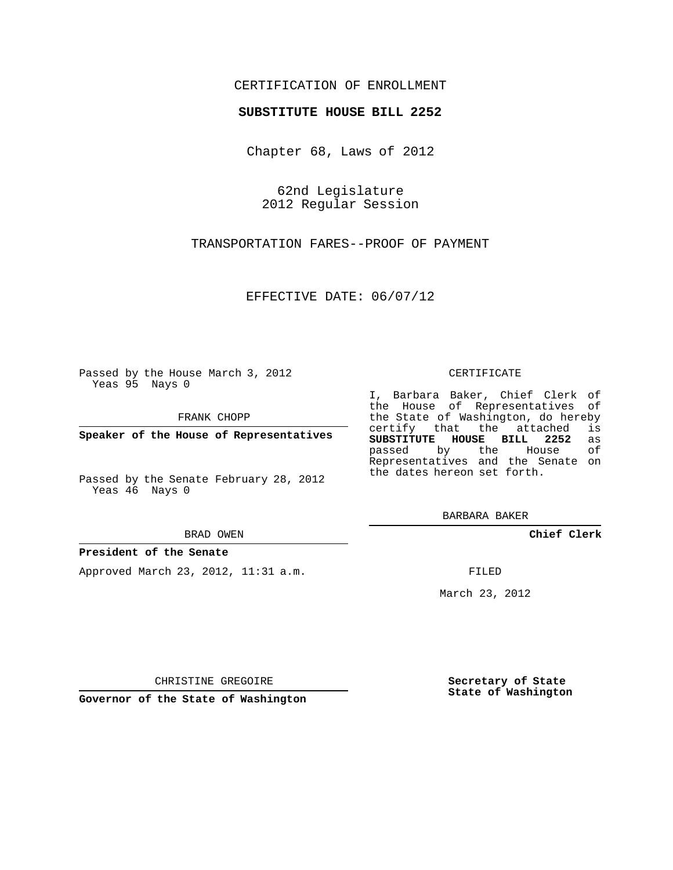## CERTIFICATION OF ENROLLMENT

### **SUBSTITUTE HOUSE BILL 2252**

Chapter 68, Laws of 2012

62nd Legislature 2012 Regular Session

TRANSPORTATION FARES--PROOF OF PAYMENT

EFFECTIVE DATE: 06/07/12

Passed by the House March 3, 2012 Yeas 95 Nays 0

FRANK CHOPP

**Speaker of the House of Representatives**

Passed by the Senate February 28, 2012 Yeas 46 Nays 0

#### BRAD OWEN

### **President of the Senate**

Approved March 23, 2012, 11:31 a.m.

#### CERTIFICATE

I, Barbara Baker, Chief Clerk of the House of Representatives of the State of Washington, do hereby<br>certify that the attached is certify that the attached **SUBSTITUTE HOUSE BILL 2252** as passed by the House Representatives and the Senate on the dates hereon set forth.

BARBARA BAKER

**Chief Clerk**

FILED

March 23, 2012

CHRISTINE GREGOIRE

**Governor of the State of Washington**

**Secretary of State State of Washington**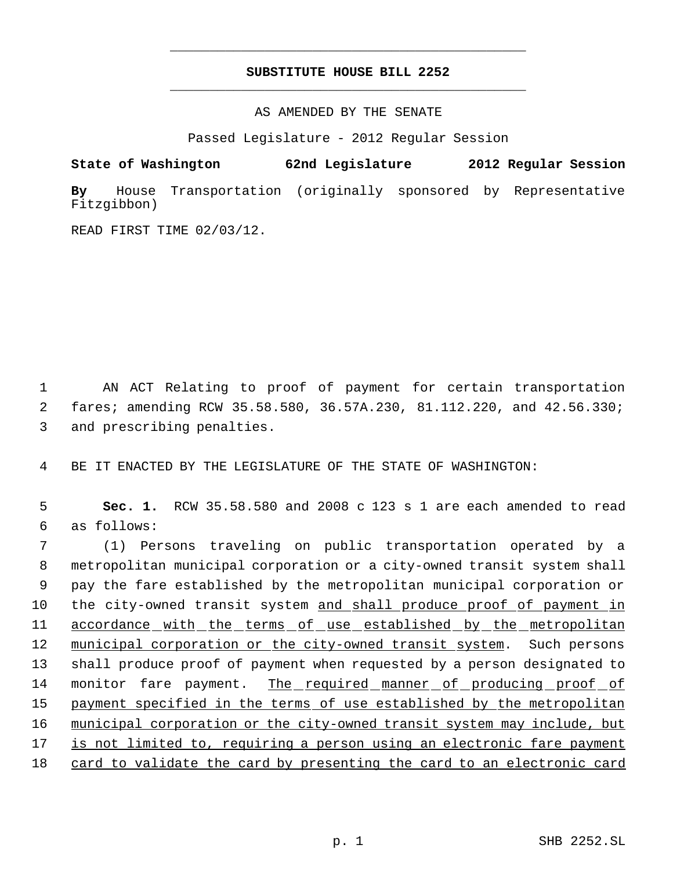# **SUBSTITUTE HOUSE BILL 2252** \_\_\_\_\_\_\_\_\_\_\_\_\_\_\_\_\_\_\_\_\_\_\_\_\_\_\_\_\_\_\_\_\_\_\_\_\_\_\_\_\_\_\_\_\_

\_\_\_\_\_\_\_\_\_\_\_\_\_\_\_\_\_\_\_\_\_\_\_\_\_\_\_\_\_\_\_\_\_\_\_\_\_\_\_\_\_\_\_\_\_

AS AMENDED BY THE SENATE

Passed Legislature - 2012 Regular Session

**State of Washington 62nd Legislature 2012 Regular Session**

**By** House Transportation (originally sponsored by Representative Fitzgibbon)

READ FIRST TIME 02/03/12.

 1 AN ACT Relating to proof of payment for certain transportation 2 fares; amending RCW 35.58.580, 36.57A.230, 81.112.220, and 42.56.330; 3 and prescribing penalties.

4 BE IT ENACTED BY THE LEGISLATURE OF THE STATE OF WASHINGTON:

 5 **Sec. 1.** RCW 35.58.580 and 2008 c 123 s 1 are each amended to read 6 as follows:

 (1) Persons traveling on public transportation operated by a metropolitan municipal corporation or a city-owned transit system shall pay the fare established by the metropolitan municipal corporation or the city-owned transit system and shall produce proof of payment in accordance with the terms of use established by the metropolitan 12 municipal corporation or the city-owned transit system. Such persons shall produce proof of payment when requested by a person designated to 14 monitor fare payment. The required manner of producing proof of 15 payment specified in the terms of use established by the metropolitan municipal corporation or the city-owned transit system may include, but is not limited to, requiring a person using an electronic fare payment 18 card to validate the card by presenting the card to an electronic card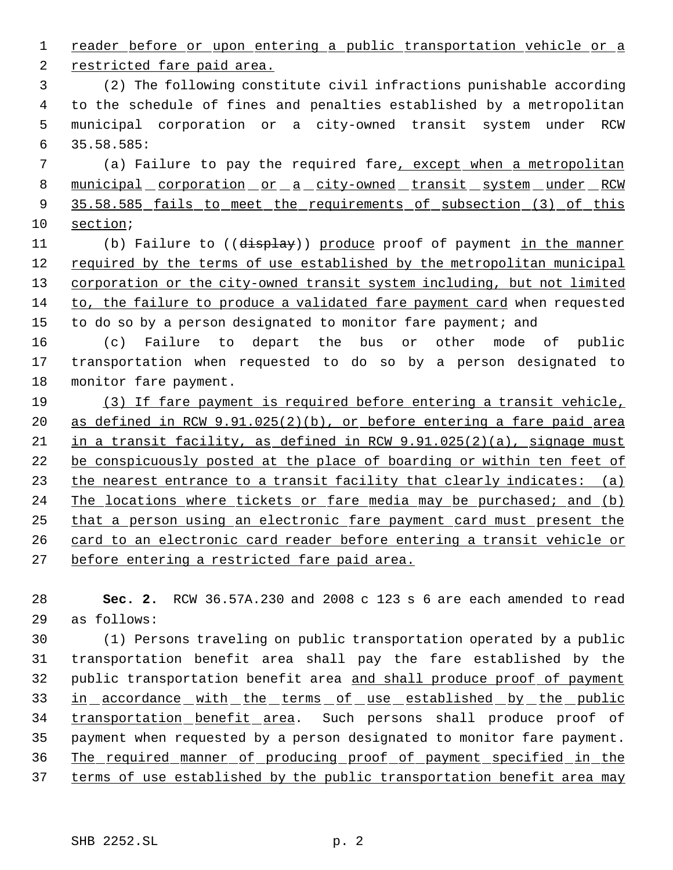reader before or upon entering a public transportation vehicle or a

restricted fare paid area.

 (2) The following constitute civil infractions punishable according to the schedule of fines and penalties established by a metropolitan municipal corporation or a city-owned transit system under RCW 35.58.585:

7 (a) Failure to pay the required fare, except when a metropolitan 8 municipal corporation or a city-owned transit system under RCW 9 35.58.585 fails to meet the requirements of subsection (3) of this section;

11 (b) Failure to ((display)) produce proof of payment in the manner 12 required by the terms of use established by the metropolitan municipal corporation or the city-owned transit system including, but not limited to, the failure to produce a validated fare payment card when requested 15 to do so by a person designated to monitor fare payment; and

 (c) Failure to depart the bus or other mode of public transportation when requested to do so by a person designated to monitor fare payment.

 (3) If fare payment is required before entering a transit vehicle, as defined in RCW 9.91.025(2)(b), or before entering a fare paid area in a transit facility, as defined in RCW 9.91.025(2)(a), signage must be conspicuously posted at the place of boarding or within ten feet of 23 the nearest entrance to a transit facility that clearly indicates: (a) 24 The locations where tickets or fare media may be purchased; and (b) that a person using an electronic fare payment card must present the card to an electronic card reader before entering a transit vehicle or before entering a restricted fare paid area.

 **Sec. 2.** RCW 36.57A.230 and 2008 c 123 s 6 are each amended to read as follows:

 (1) Persons traveling on public transportation operated by a public transportation benefit area shall pay the fare established by the 32 public transportation benefit area and shall produce proof of payment 33 in accordance with the terms of use established by the public 34 transportation benefit area. Such persons shall produce proof of payment when requested by a person designated to monitor fare payment. The required manner of producing proof of payment specified in the 37 terms of use established by the public transportation benefit area may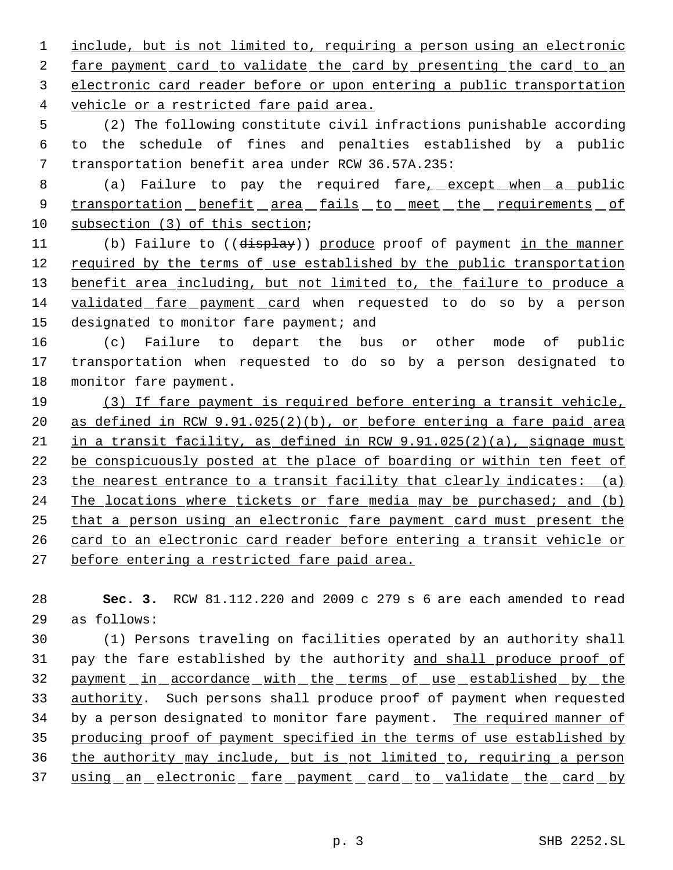include, but is not limited to, requiring a person using an electronic 2 fare payment card to validate the card by presenting the card to an electronic card reader before or upon entering a public transportation vehicle or a restricted fare paid area.

 (2) The following constitute civil infractions punishable according to the schedule of fines and penalties established by a public transportation benefit area under RCW 36.57A.235:

8 (a) Failure to pay the required fare<sub>1</sub> except when a public 9 transportation benefit area fails to meet the requirements of subsection (3) of this section;

11 (b) Failure to ((display)) produce proof of payment in the manner 12 required by the terms of use established by the public transportation 13 benefit area including, but not limited to, the failure to produce a validated fare payment card when requested to do so by a person 15 designated to monitor fare payment; and

 (c) Failure to depart the bus or other mode of public transportation when requested to do so by a person designated to monitor fare payment.

 (3) If fare payment is required before entering a transit vehicle, as defined in RCW 9.91.025(2)(b), or before entering a fare paid area in a transit facility, as defined in RCW 9.91.025(2)(a), signage must be conspicuously posted at the place of boarding or within ten feet of 23 the nearest entrance to a transit facility that clearly indicates: (a) 24 The locations where tickets or fare media may be purchased; and (b) that a person using an electronic fare payment card must present the card to an electronic card reader before entering a transit vehicle or before entering a restricted fare paid area.

 **Sec. 3.** RCW 81.112.220 and 2009 c 279 s 6 are each amended to read as follows:

 (1) Persons traveling on facilities operated by an authority shall pay the fare established by the authority and shall produce proof of 32 payment in accordance with the terms of use established by the 33 authority. Such persons shall produce proof of payment when requested 34 by a person designated to monitor fare payment. The required manner of producing proof of payment specified in the terms of use established by the authority may include, but is not limited to, requiring a person 37 using an electronic fare payment card to validate the card by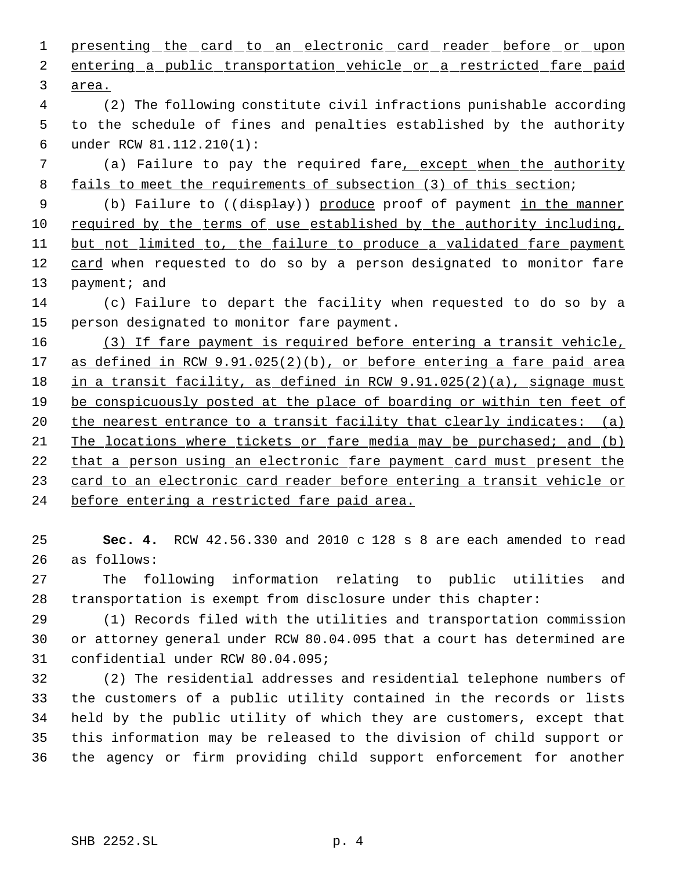| $\mathbf 1$ | presenting the card to an electronic card reader before or upon        |
|-------------|------------------------------------------------------------------------|
| 2           | entering a public transportation vehicle or a restricted fare paid     |
| 3           | area.                                                                  |
| 4           | (2) The following constitute civil infractions punishable according    |
| 5           | to the schedule of fines and penalties established by the authority    |
| 6           | under RCW 81.112.210(1):                                               |
| 7           | (a) Failure to pay the required fare, except when the authority        |
| 8           | fails to meet the requirements of subsection (3) of this section;      |
| 9           | (b) Failure to ((display)) produce proof of payment in the manner      |
| 10          | required by the terms of use established by the authority including,   |
| 11          | but not limited to, the failure to produce a validated fare payment    |
| 12          | card when requested to do so by a person designated to monitor fare    |
| 13          | payment; and                                                           |
| 14          | (c) Failure to depart the facility when requested to do so by a        |
| 15          | person designated to monitor fare payment.                             |
| 16          | (3) If fare payment is required before entering a transit vehicle,     |
| 17          | as defined in RCW 9.91.025(2)(b), or before entering a fare paid area  |
| 18          | in a transit facility, as defined in RCW 9.91.025(2)(a), signage must  |
| 19          | be conspicuously posted at the place of boarding or within ten feet of |
| 20          | the nearest entrance to a transit facility that clearly indicates: (a) |
| 21          | The locations where tickets or fare media may be purchased; and (b)    |
| 22          | that a person using an electronic fare payment card must present the   |
| 23          | card to an electronic card reader before entering a transit vehicle or |
| 24          | before entering a restricted fare paid area.                           |
|             |                                                                        |
| 25          | Sec. 4. RCW 42.56.330 and 2010 c 128 s 8 are each amended to read      |
| 26          | as follows:                                                            |
| 27          | following information relating to public utilities<br>The<br>and       |
| 28          | transportation is exempt from disclosure under this chapter:           |
| 29          | (1) Records filed with the utilities and transportation commission     |

 or attorney general under RCW 80.04.095 that a court has determined are confidential under RCW 80.04.095;

 (2) The residential addresses and residential telephone numbers of the customers of a public utility contained in the records or lists held by the public utility of which they are customers, except that this information may be released to the division of child support or the agency or firm providing child support enforcement for another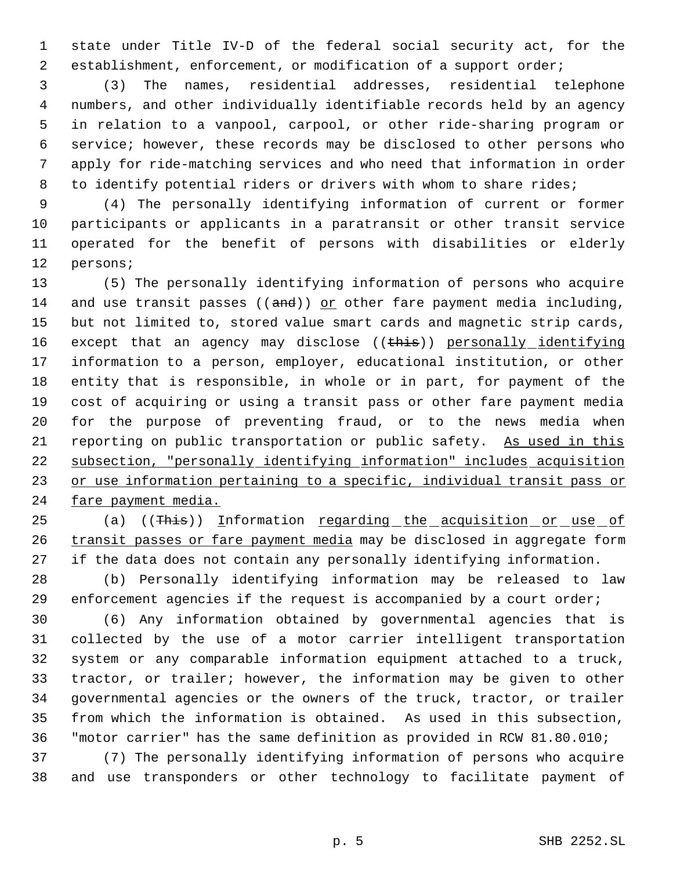state under Title IV-D of the federal social security act, for the establishment, enforcement, or modification of a support order;

 (3) The names, residential addresses, residential telephone numbers, and other individually identifiable records held by an agency in relation to a vanpool, carpool, or other ride-sharing program or service; however, these records may be disclosed to other persons who apply for ride-matching services and who need that information in order 8 to identify potential riders or drivers with whom to share rides;

 (4) The personally identifying information of current or former participants or applicants in a paratransit or other transit service operated for the benefit of persons with disabilities or elderly persons;

 (5) The personally identifying information of persons who acquire 14 and use transit passes  $((and))$  or other fare payment media including, but not limited to, stored value smart cards and magnetic strip cards, 16 except that an agency may disclose ((this)) personally identifying information to a person, employer, educational institution, or other entity that is responsible, in whole or in part, for payment of the cost of acquiring or using a transit pass or other fare payment media for the purpose of preventing fraud, or to the news media when 21 reporting on public transportation or public safety. As used in this subsection, "personally identifying information" includes acquisition 23 or use information pertaining to a specific, individual transit pass or fare payment media.

25 (a) ((This)) Information regarding the acquisition or use of 26 transit passes or fare payment media may be disclosed in aggregate form if the data does not contain any personally identifying information.

 (b) Personally identifying information may be released to law enforcement agencies if the request is accompanied by a court order;

 (6) Any information obtained by governmental agencies that is collected by the use of a motor carrier intelligent transportation system or any comparable information equipment attached to a truck, tractor, or trailer; however, the information may be given to other governmental agencies or the owners of the truck, tractor, or trailer from which the information is obtained. As used in this subsection, "motor carrier" has the same definition as provided in RCW 81.80.010;

 (7) The personally identifying information of persons who acquire and use transponders or other technology to facilitate payment of